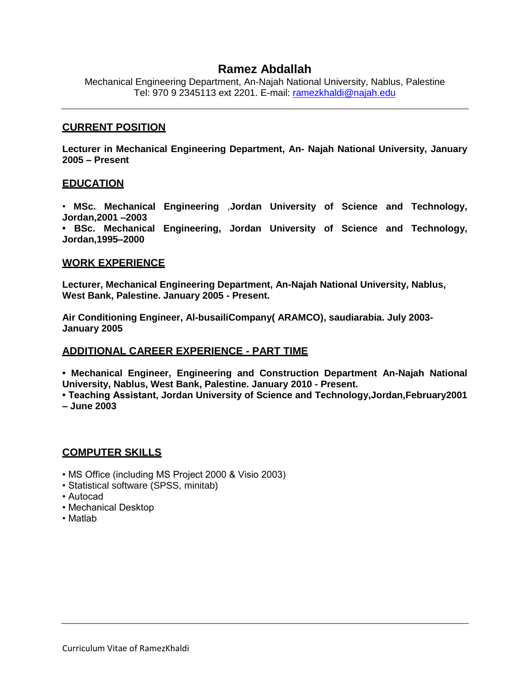# **Ramez Abdallah**

Mechanical Engineering Department, An-Najah National University, Nablus, Palestine Tel: 970 9 2345113 ext 2201. E-mail: [ramezkhaldi@najah.edu](mailto:ramezkhaldi@najah.edu)

### **CURRENT POSITION**

**Lecturer in Mechanical Engineering Department, An- Najah National University, January 2005 – Present**

#### **EDUCATION**

• **MSc. Mechanical Engineering** ,**Jordan University of Science and Technology, Jordan,2001 –2003**

**• BSc. Mechanical Engineering, Jordan University of Science and Technology, Jordan,1995–2000**

#### **WORK EXPERIENCE**

**Lecturer, Mechanical Engineering Department, An-Najah National University, Nablus, West Bank, Palestine. January 2005 - Present.**

**Air Conditioning Engineer, Al-busailiCompany( ARAMCO), saudiarabia. July 2003- January 2005**

### **ADDITIONAL CAREER EXPERIENCE - PART TIME**

**• Mechanical Engineer, Engineering and Construction Department An-Najah National University, Nablus, West Bank, Palestine. January 2010 - Present.**

**• Teaching Assistant, Jordan University of Science and Technology,Jordan,February2001 – June 2003**

### **COMPUTER SKILLS**

- MS Office (including MS Project 2000 & Visio 2003)
- Statistical software (SPSS, minitab)
- Autocad
- Mechanical Desktop
- Matlab